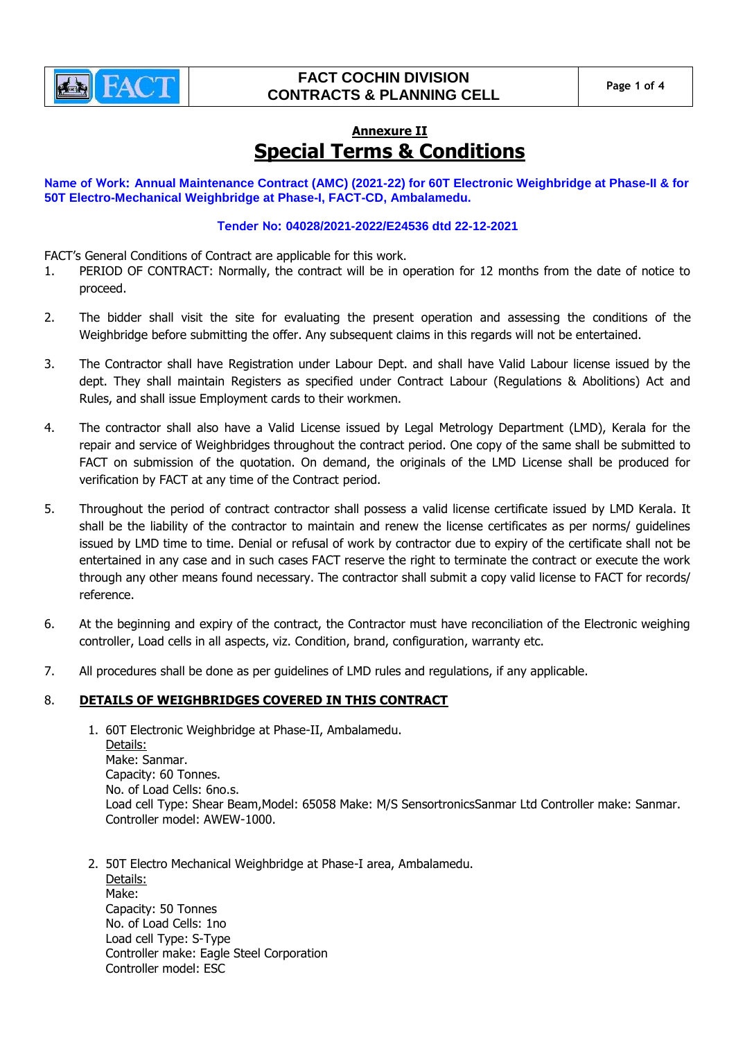

# **FACT COCHIN DIVISION CONTRACTS & PLANNING CELL Page 1 of 4**

# **Annexure II Special Terms & Conditions**

**Name of Work: Annual Maintenance Contract (AMC) (2021-22) for 60T Electronic Weighbridge at Phase-II & for 50T Electro-Mechanical Weighbridge at Phase-I, FACT-CD, Ambalamedu.**

### **Tender No: 04028/2021-2022/E24536 dtd 22-12-2021**

FACT's General Conditions of Contract are applicable for this work.

- 1. PERIOD OF CONTRACT: Normally, the contract will be in operation for 12 months from the date of notice to proceed.
- 2. The bidder shall visit the site for evaluating the present operation and assessing the conditions of the Weighbridge before submitting the offer. Any subsequent claims in this regards will not be entertained.
- 3. The Contractor shall have Registration under Labour Dept. and shall have Valid Labour license issued by the dept. They shall maintain Registers as specified under Contract Labour (Regulations & Abolitions) Act and Rules, and shall issue Employment cards to their workmen.
- 4. The contractor shall also have a Valid License issued by Legal Metrology Department (LMD), Kerala for the repair and service of Weighbridges throughout the contract period. One copy of the same shall be submitted to FACT on submission of the quotation. On demand, the originals of the LMD License shall be produced for verification by FACT at any time of the Contract period.
- 5. Throughout the period of contract contractor shall possess a valid license certificate issued by LMD Kerala. It shall be the liability of the contractor to maintain and renew the license certificates as per norms/ guidelines issued by LMD time to time. Denial or refusal of work by contractor due to expiry of the certificate shall not be entertained in any case and in such cases FACT reserve the right to terminate the contract or execute the work through any other means found necessary. The contractor shall submit a copy valid license to FACT for records/ reference.
- 6. At the beginning and expiry of the contract, the Contractor must have reconciliation of the Electronic weighing controller, Load cells in all aspects, viz. Condition, brand, configuration, warranty etc.
- 7. All procedures shall be done as per guidelines of LMD rules and regulations, if any applicable.

## 8. **DETAILS OF WEIGHBRIDGES COVERED IN THIS CONTRACT**

- 1. 60T Electronic Weighbridge at Phase-II, Ambalamedu. Details: Make: Sanmar. Capacity: 60 Tonnes. No. of Load Cells: 6no.s. Load cell Type: Shear Beam,Model: 65058 Make: M/S SensortronicsSanmar Ltd Controller make: Sanmar. Controller model: AWEW-1000.
- 2. 50T Electro Mechanical Weighbridge at Phase-I area, Ambalamedu. Details: Make: Capacity: 50 Tonnes No. of Load Cells: 1no Load cell Type: S-Type Controller make: Eagle Steel Corporation Controller model: ESC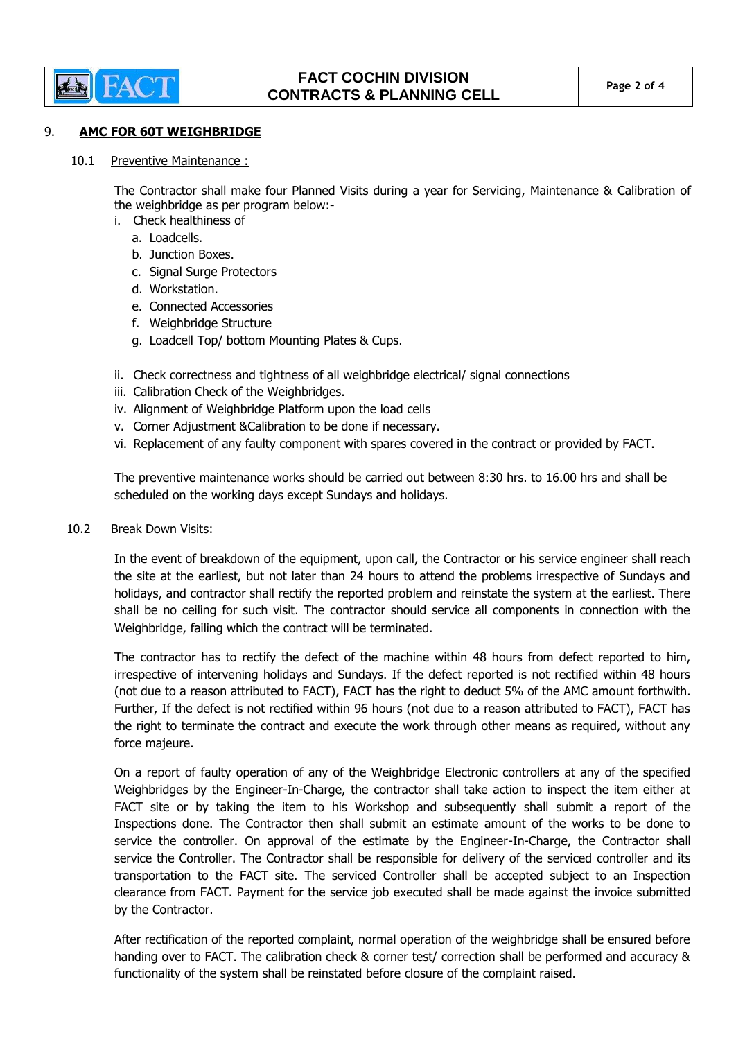

#### 9. **AMC FOR 60T WEIGHBRIDGE**

10.1 Preventive Maintenance :

The Contractor shall make four Planned Visits during a year for Servicing, Maintenance & Calibration of the weighbridge as per program below:-

- i. Check healthiness of
	- a. Loadcells.
	- b. Junction Boxes.
	- c. Signal Surge Protectors
	- d. Workstation.
	- e. Connected Accessories
	- f. Weighbridge Structure
	- g. Loadcell Top/ bottom Mounting Plates & Cups.
- ii. Check correctness and tightness of all weighbridge electrical/ signal connections
- iii. Calibration Check of the Weighbridges.
- iv. Alignment of Weighbridge Platform upon the load cells
- v. Corner Adjustment &Calibration to be done if necessary.
- vi. Replacement of any faulty component with spares covered in the contract or provided by FACT.

The preventive maintenance works should be carried out between 8:30 hrs. to 16.00 hrs and shall be scheduled on the working days except Sundays and holidays.

### 10.2 Break Down Visits:

In the event of breakdown of the equipment, upon call, the Contractor or his service engineer shall reach the site at the earliest, but not later than 24 hours to attend the problems irrespective of Sundays and holidays, and contractor shall rectify the reported problem and reinstate the system at the earliest. There shall be no ceiling for such visit. The contractor should service all components in connection with the Weighbridge, failing which the contract will be terminated.

The contractor has to rectify the defect of the machine within 48 hours from defect reported to him, irrespective of intervening holidays and Sundays. If the defect reported is not rectified within 48 hours (not due to a reason attributed to FACT), FACT has the right to deduct 5% of the AMC amount forthwith. Further, If the defect is not rectified within 96 hours (not due to a reason attributed to FACT), FACT has the right to terminate the contract and execute the work through other means as required, without any force majeure.

On a report of faulty operation of any of the Weighbridge Electronic controllers at any of the specified Weighbridges by the Engineer-In-Charge, the contractor shall take action to inspect the item either at FACT site or by taking the item to his Workshop and subsequently shall submit a report of the Inspections done. The Contractor then shall submit an estimate amount of the works to be done to service the controller. On approval of the estimate by the Engineer-In-Charge, the Contractor shall service the Controller. The Contractor shall be responsible for delivery of the serviced controller and its transportation to the FACT site. The serviced Controller shall be accepted subject to an Inspection clearance from FACT. Payment for the service job executed shall be made against the invoice submitted by the Contractor.

After rectification of the reported complaint, normal operation of the weighbridge shall be ensured before handing over to FACT. The calibration check & corner test/ correction shall be performed and accuracy & functionality of the system shall be reinstated before closure of the complaint raised.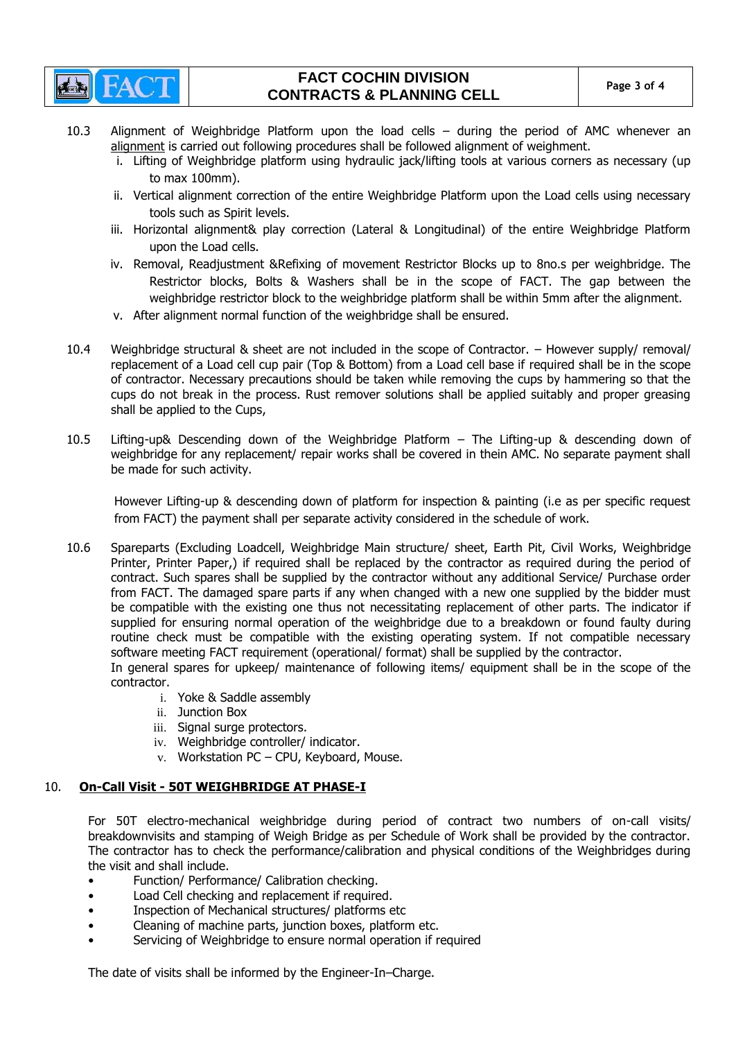

# **FACT COCHIN DIVISION CONTRACTS & PLANNING CELL Page 3 of 4**

- 10.3 Alignment of Weighbridge Platform upon the load cells during the period of AMC whenever an alignment is carried out following procedures shall be followed alignment of weighment.
	- i. Lifting of Weighbridge platform using hydraulic jack/lifting tools at various corners as necessary (up to max 100mm).
	- ii. Vertical alignment correction of the entire Weighbridge Platform upon the Load cells using necessary tools such as Spirit levels.
	- iii. Horizontal alignment& play correction (Lateral & Longitudinal) of the entire Weighbridge Platform upon the Load cells.
	- iv. Removal, Readjustment &Refixing of movement Restrictor Blocks up to 8no.s per weighbridge. The Restrictor blocks, Bolts & Washers shall be in the scope of FACT. The gap between the weighbridge restrictor block to the weighbridge platform shall be within 5mm after the alignment.
	- v. After alignment normal function of the weighbridge shall be ensured.
- 10.4 Weighbridge structural & sheet are not included in the scope of Contractor. However supply/ removal/ replacement of a Load cell cup pair (Top & Bottom) from a Load cell base if required shall be in the scope of contractor. Necessary precautions should be taken while removing the cups by hammering so that the cups do not break in the process. Rust remover solutions shall be applied suitably and proper greasing shall be applied to the Cups,
- 10.5 Lifting-up& Descending down of the Weighbridge Platform The Lifting-up & descending down of weighbridge for any replacement/ repair works shall be covered in thein AMC. No separate payment shall be made for such activity.

However Lifting-up & descending down of platform for inspection & painting (i.e as per specific request from FACT) the payment shall per separate activity considered in the schedule of work.

10.6 Spareparts (Excluding Loadcell, Weighbridge Main structure/ sheet, Earth Pit, Civil Works, Weighbridge Printer, Printer Paper,) if required shall be replaced by the contractor as required during the period of contract. Such spares shall be supplied by the contractor without any additional Service/ Purchase order from FACT. The damaged spare parts if any when changed with a new one supplied by the bidder must be compatible with the existing one thus not necessitating replacement of other parts. The indicator if supplied for ensuring normal operation of the weighbridge due to a breakdown or found faulty during routine check must be compatible with the existing operating system. If not compatible necessary software meeting FACT requirement (operational/ format) shall be supplied by the contractor. In general spares for upkeep/ maintenance of following items/ equipment shall be in the scope of the

contractor.

- i. Yoke & Saddle assembly
- ii. Junction Box
- iii. Signal surge protectors.
- iv. Weighbridge controller/ indicator.
- v. Workstation PC CPU, Keyboard, Mouse.

## 10. **On-Call Visit - 50T WEIGHBRIDGE AT PHASE-I**

For 50T electro-mechanical weighbridge during period of contract two numbers of on-call visits/ breakdownvisits and stamping of Weigh Bridge as per Schedule of Work shall be provided by the contractor. The contractor has to check the performance/calibration and physical conditions of the Weighbridges during the visit and shall include.

- Function/ Performance/ Calibration checking.
- Load Cell checking and replacement if required.
- Inspection of Mechanical structures/ platforms etc
- Cleaning of machine parts, junction boxes, platform etc.
- Servicing of Weighbridge to ensure normal operation if required

The date of visits shall be informed by the Engineer-In–Charge.